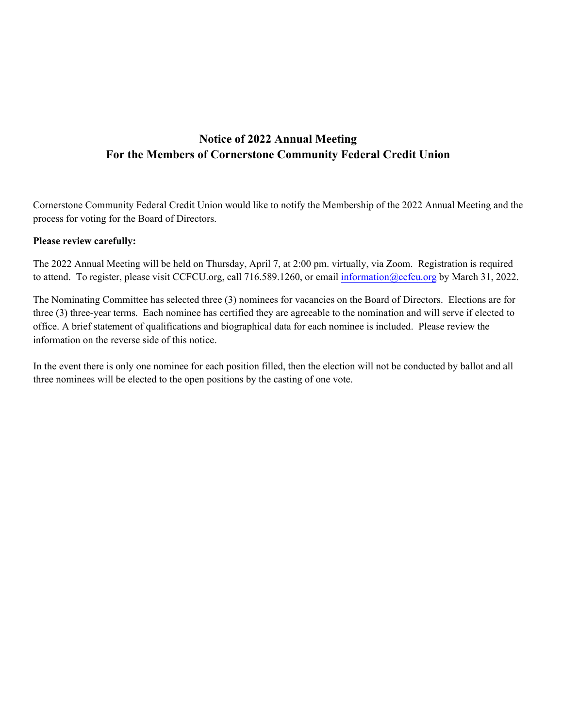# **Notice of 2022 Annual Meeting For the Members of Cornerstone Community Federal Credit Union**

Cornerstone Community Federal Credit Union would like to notify the Membership of the 2022 Annual Meeting and the process for voting for the Board of Directors.

# **Please review carefully:**

The 2022 Annual Meeting will be held on Thursday, April 7, at 2:00 pm. virtually, via Zoom. Registration is required to attend. To register, please visit CCFCU.org, call 716.589.1260, or email information@ccfcu.org by March 31, 2022.

The Nominating Committee has selected three (3) nominees for vacanci[es on the Board of Direct](mailto:information@ccfcu.org)ors. Elections are for three (3) three-year terms. Each nominee has certified they are agreeable to the nomination and will serve if elected to office. A brief statement of qualifications and biographical data for each nominee is included. Please review the information on the reverse side of this notice.

In the event there is only one nominee for each position filled, then the election will not be conducted by ballot and all three nominees will be elected to the open positions by the casting of one vote.